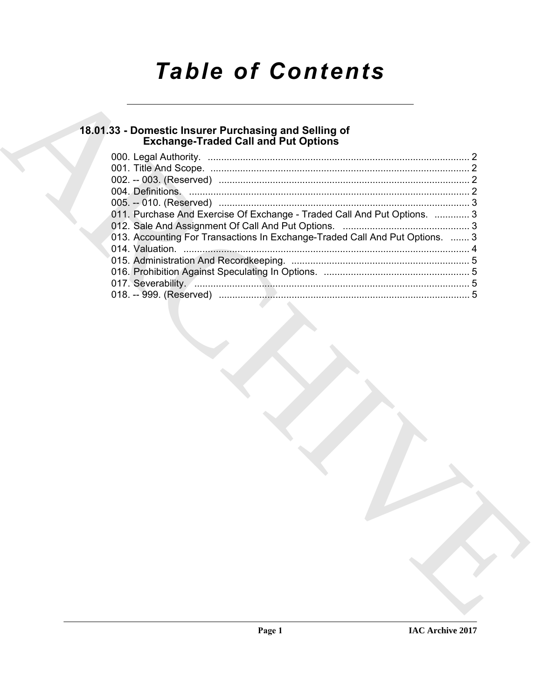# *Table of Contents*

# **18.01.33 - Domestic Insurer Purchasing and Selling of Exchange-Traded Call and Put Options**

|  | <b>Exchange-Traded Call and Put Options</b>                                            |  |
|--|----------------------------------------------------------------------------------------|--|
|  |                                                                                        |  |
|  |                                                                                        |  |
|  | 011. Purchase And Exercise Of Exchange - Traded Call And Put Options.  3               |  |
|  |                                                                                        |  |
|  | 013. Accounting For Transactions In Exchange-Traded Call And Put Options.  3           |  |
|  |                                                                                        |  |
|  |                                                                                        |  |
|  | 017. Severability. <u>Announces</u> and Contract Contract of Table 17. Severability. 5 |  |
|  |                                                                                        |  |
|  |                                                                                        |  |
|  |                                                                                        |  |
|  |                                                                                        |  |
|  |                                                                                        |  |
|  |                                                                                        |  |
|  |                                                                                        |  |
|  |                                                                                        |  |
|  |                                                                                        |  |
|  |                                                                                        |  |
|  |                                                                                        |  |
|  |                                                                                        |  |
|  |                                                                                        |  |
|  |                                                                                        |  |
|  |                                                                                        |  |
|  |                                                                                        |  |
|  |                                                                                        |  |
|  |                                                                                        |  |
|  |                                                                                        |  |
|  |                                                                                        |  |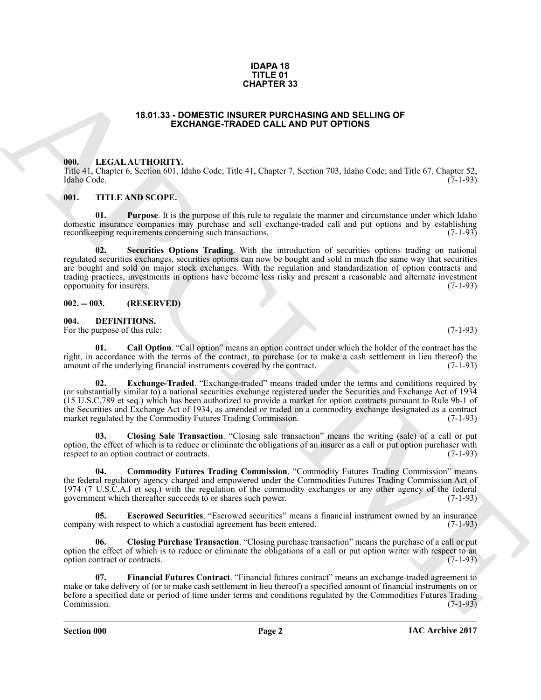#### **IDAPA 18 TITLE 01 CHAPTER 33**

#### **18.01.33 - DOMESTIC INSURER PURCHASING AND SELLING OF EXCHANGE-TRADED CALL AND PUT OPTIONS**

#### <span id="page-1-1"></span><span id="page-1-0"></span>**000. LEGAL AUTHORITY.**

Title 41, Chapter 6, Section 601, Idaho Code; Title 41, Chapter 7, Section 703, Idaho Code; and Title 67, Chapter 52, Idaho Code. (7-1-93)

#### <span id="page-1-2"></span>**001. TITLE AND SCOPE.**

<span id="page-1-13"></span>**01. Purpose**. It is the purpose of this rule to regulate the manner and circumstance under which Idaho domestic insurance companies may purchase and sell exchange-traded call and put options and by establishing record<br>keeping requirements concerning such transactions. (7-1-93) recordkeeping requirements concerning such transactions.

**EXAMPRE 33**<br> **EXAMPRE 53**<br> **EXAMPRE EXAMPRE CALL AND BUT OF INDEED CALL AND BUT OF THOSE CONSULTER CONSULTER CONSULTER CONSULTER CONSULTER (1993)<br>
ARCHIVET CALL AND BUT OF THOSE CONSULTER (AND CONSULTER CONSULTER CONSULT 02. Securities Options Trading**. With the introduction of securities options trading on national regulated securities exchanges, securities options can now be bought and sold in much the same way that securities are bought and sold on major stock exchanges. With the regulation and standardization of option contracts and trading practices, investments in options have become less risky and present a reasonable and alternate investment opportunity for insurers. (7-1-93) opportunity for insurers.

#### <span id="page-1-3"></span>**002. -- 003. (RESERVED)**

<span id="page-1-5"></span><span id="page-1-4"></span>**004. DEFINITIONS.**

For the purpose of this rule: (7-1-93) (3-1-93)

<span id="page-1-6"></span>**Call Option**. "Call option" means an option contract under which the holder of the contract has the right, in accordance with the terms of the contract, to purchase (or to make a cash settlement in lieu thereof) the amount of the underlying financial instruments covered by the contract. (7-1-93)

<span id="page-1-11"></span>**02. Exchange-Traded**. "Exchange-traded" means traded under the terms and conditions required by (or substantially similar to) a national securities exchange registered under the Securities and Exchange Act of 1934 (15 U.S.C.789 et seq.) which has been authorized to provide a market for option contracts pursuant to Rule 9b-1 of the Securities and Exchange Act of 1934, as amended or traded on a commodity exchange designated as a contract market regulated by the Commodity Futures Trading Commission. (7-1-93)

<span id="page-1-8"></span>**03. Closing Sale Transaction**. "Closing sale transaction" means the writing (sale) of a call or put option, the effect of which is to reduce or eliminate the obligations of an insurer as a call or put option purchaser with respect to an option contract or contracts.  $(7-1-93)$ 

<span id="page-1-9"></span>**04. Commodity Futures Trading Commission**. "Commodity Futures Trading Commission" means the federal regulatory agency charged and empowered under the Commodities Futures Trading Commission Act of 1974 (7 U.S.C.A.l et seq.) with the regulation of the commodity exchanges or any other agency of the federal government which thereafter succeeds to or shares such power. (7-1-93)

<span id="page-1-10"></span>**05. Escrowed Securities.** "Escrowed securities" means a financial instrument owned by an insurance virtum respect to which a custodial agreement has been entered. (7-1-93) company with respect to which a custodial agreement has been entered.

<span id="page-1-7"></span>**06. Closing Purchase Transaction**. "Closing purchase transaction" means the purchase of a call or put option the effect of which is to reduce or eliminate the obligations of a call or put option writer with respect to an option contract or contracts. option contract or contracts.

<span id="page-1-12"></span>**07. Financial Futures Contract**. "Financial futures contract" means an exchange-traded agreement to make or take delivery of (or to make cash settlement in lieu thereof) a specified amount of financial instruments on or before a specified date or period of time under terms and conditions regulated by the Commodities Futures Trading Commission. (7-1-93) Commission. (7-1-93)

**Section 000 Page 2**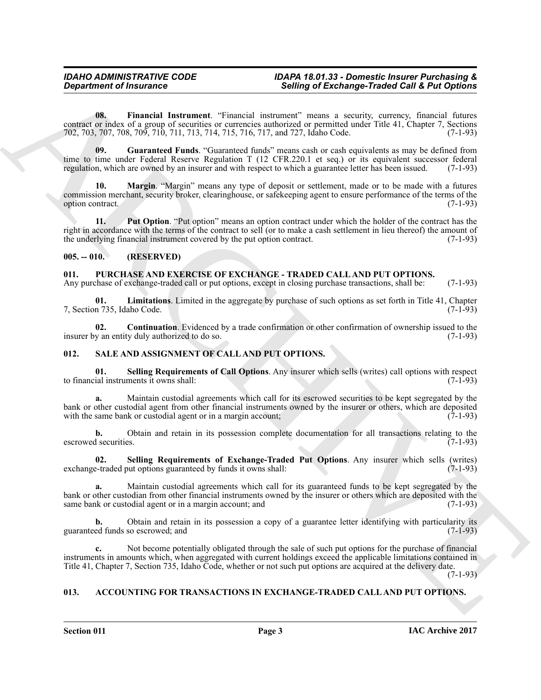#### *IDAHO ADMINISTRATIVE CODE IDAPA 18.01.33 - Domestic Insurer Purchasing &* **Selling of Exchange-Traded Call & Put Options**

<span id="page-2-5"></span>**08. Financial Instrument**. "Financial instrument" means a security, currency, financial futures contract or index of a group of securities or currencies authorized or permitted under Title 41, Chapter 7, Sections 702, 703, 707, 708, 709, 710, 711, 713, 714, 715, 716, 717, and 727, Idaho Code. (7-1-93) 702, 703, 707, 708, 709, 710, 711, 713, 714, 715, 716, 717, and 727, Idaho Code.

<span id="page-2-6"></span>**09. Guaranteed Funds**. "Guaranteed funds" means cash or cash equivalents as may be defined from time to time under Federal Reserve Regulation T (12 CFR.220.1 et seq.) or its equivalent successor federal regulation, which are owned by an insurer and with respect to which a guarantee letter has been issued. (7-1-93)

<span id="page-2-7"></span>**Margin**. "Margin" means any type of deposit or settlement, made or to be made with a futures commission merchant, security broker, clearinghouse, or safekeeping agent to ensure performance of the terms of the option contract.

<span id="page-2-8"></span>**11. Put Option**. "Put option" means an option contract under which the holder of the contract has the right in accordance with the terms of the contract to sell (or to make a cash settlement in lieu thereof) the amount of the underlying financial instrument covered by the put option contract. (7-1-93) the underlying financial instrument covered by the put option contract.

### <span id="page-2-0"></span>**005. -- 010. (RESERVED)**

### <span id="page-2-9"></span><span id="page-2-1"></span>**011. PURCHASE AND EXERCISE OF EXCHANGE - TRADED CALL AND PUT OPTIONS.**

Any purchase of exchange-traded call or put options, except in closing purchase transactions, shall be: (7-1-93)

<span id="page-2-11"></span>**01.** Limitations. Limited in the aggregate by purchase of such options as set forth in Title 41, Chapter n 735, Idaho Code. (7-1-93) 7, Section 735, Idaho Code.

<span id="page-2-10"></span>**02. Continuation**. Evidenced by a trade confirmation or other confirmation of ownership issued to the y an entity duly authorized to do so. (7-1-93) insurer by an entity duly authorized to do so.

## <span id="page-2-12"></span><span id="page-2-2"></span>**012. SALE AND ASSIGNMENT OF CALL AND PUT OPTIONS.**

<span id="page-2-13"></span>**01. Selling Requirements of Call Options**. Any insurer which sells (writes) call options with respect to financial instruments it owns shall:

Generation of framework control internal methods of the theoretic point is the particular control internal methods of the control internal methods of the particular control internal methods of the control internal methods **a.** Maintain custodial agreements which call for its escrowed securities to be kept segregated by the bank or other custodial agent from other financial instruments owned by the insurer or others, which are deposited with the same bank or custodial agent or in a margin account; (7-1-93) with the same bank or custodial agent or in a margin account;

**b.** Obtain and retain in its possession complete documentation for all transactions relating to the is equities. (7-1-93) escrowed securities.

<span id="page-2-14"></span>**02.** Selling Requirements of Exchange-Traded Put Options. Any insurer which sells (writes) e-traded put options guaranteed by funds it owns shall: (7-1-93) exchange-traded put options guaranteed by funds it owns shall:

**a.** Maintain custodial agreements which call for its guaranteed funds to be kept segregated by the bank or other custodian from other financial instruments owned by the insurer or others which are deposited with the same bank or custodial agent or in a margin account: and (7-1-93) same bank or custodial agent or in a margin account; and

**b.** Obtain and retain in its possession a copy of a guarantee letter identifying with particularity its guaranteed funds so escrowed; and (7-1-93)

**c.** Not become potentially obligated through the sale of such put options for the purchase of financial instruments in amounts which, when aggregated with current holdings exceed the applicable limitations contained in Title 41, Chapter 7, Section 735, Idaho Code, whether or not such put options are acquired at the delivery date.

(7-1-93)

### <span id="page-2-4"></span><span id="page-2-3"></span>**013. ACCOUNTING FOR TRANSACTIONS IN EXCHANGE-TRADED CALL AND PUT OPTIONS.**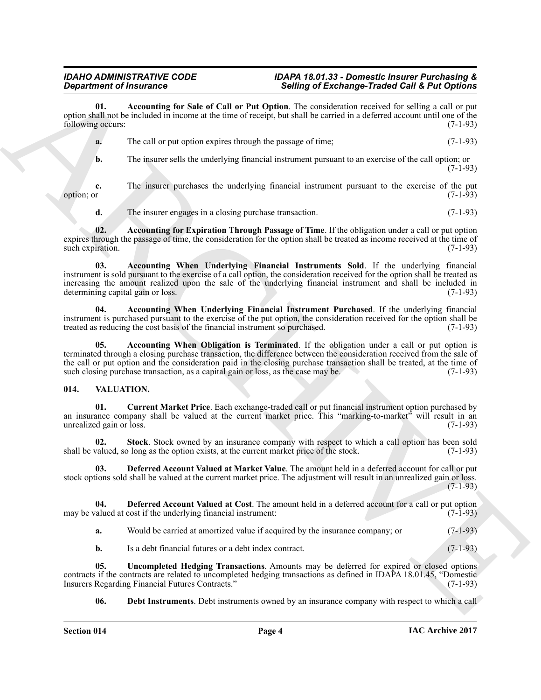#### *IDAHO ADMINISTRATIVE CODE IDAPA 18.01.33 - Domestic Insurer Purchasing &* **Selling of Exchange-Traded Call & Put Options**

**01. Accounting for Sale of Call or Put Option**. The consideration received for selling a call or put option shall not be included in income at the time of receipt, but shall be carried in a deferred account until one of the following occurs:

- <span id="page-3-2"></span>**a.** The call or put option expires through the passage of time; (7-1-93)
- **b.** The insurer sells the underlying financial instrument pursuant to an exercise of the call option; or  $(7-1-93)$

**c.** The insurer purchases the underlying financial instrument pursuant to the exercise of the put (7-1-93) option; or  $(7-1-93)$ 

<span id="page-3-5"></span><span id="page-3-1"></span>**d.** The insurer engages in a closing purchase transaction. (7-1-93)

**02.** Accounting for Expiration Through Passage of Time. If the obligation under a call or put option expires through the passage of time, the consideration for the option shall be treated as income received at the time of such expiration. (7-1-93) such expiration.

**03. Accounting When Underlying Financial Instruments Sold**. If the underlying financial instrument is sold pursuant to the exercise of a call option, the consideration received for the option shall be treated as increasing the amount realized upon the sale of the underlying financial instrument and shall be included in determining capital gain or loss. (7-1-93) determining capital gain or loss.

<span id="page-3-4"></span><span id="page-3-3"></span>**04. Accounting When Underlying Financial Instrument Purchased**. If the underlying financial instrument is purchased pursuant to the exercise of the put option, the consideration received for the option shall be treated as reducing the cost basis of the financial instrument so purchased. (7-1-93) treated as reducing the cost basis of the financial instrument so purchased.

**Considered fractions of the set of Coll are Painting of Encompassion Translate Coll & Pain Option 12.**<br>
The spin of the set of Coll are Pain Option 12. consideration is even of the set of the set of the set of the set of **05. Accounting When Obligation is Terminated**. If the obligation under a call or put option is terminated through a closing purchase transaction, the difference between the consideration received from the sale of the call or put option and the consideration paid in the closing purchase transaction shall be treated, at the time of such closing purchase transaction, as a capital gain or loss, as the case may be. (7-1-93) such closing purchase transaction, as a capital gain or loss, as the case may be.

### <span id="page-3-6"></span><span id="page-3-0"></span>**014. VALUATION.**

<span id="page-3-7"></span>**01. Current Market Price**. Each exchange-traded call or put financial instrument option purchased by an insurance company shall be valued at the current market price. This "marking-to-market" will result in an unrealized gain or loss.  $(7-1-93)$ unrealized gain or loss.

<span id="page-3-11"></span>**02.** Stock. Stock owned by an insurance company with respect to which a call option has been sold valued, so long as the option exists, at the current market price of the stock. (7-1-93) shall be valued, so long as the option exists, at the current market price of the stock.

<span id="page-3-10"></span>**03. Deferred Account Valued at Market Value**. The amount held in a deferred account for call or put stock options sold shall be valued at the current market price. The adjustment will result in an unrealized gain or loss.  $(7-1-93)$ 

**04. Deferred Account Valued at Cost**. The amount held in a deferred account for a call or put option valued at cost if the underlying financial instrument: (7-1-93) may be valued at cost if the underlying financial instrument:

<span id="page-3-9"></span>**a.** Would be carried at amortized value if acquired by the insurance company; or (7-1-93)

<span id="page-3-12"></span>**b.** Is a debt financial futures or a debt index contract. (7-1-93)

**05. Uncompleted Hedging Transactions**. Amounts may be deferred for expired or closed options contracts if the contracts are related to uncompleted hedging transactions as defined in IDAPA 18.01.45, "Domestic Insurers Regarding Financial Futures Contracts."

<span id="page-3-8"></span>**06. Debt Instruments**. Debt instruments owned by an insurance company with respect to which a call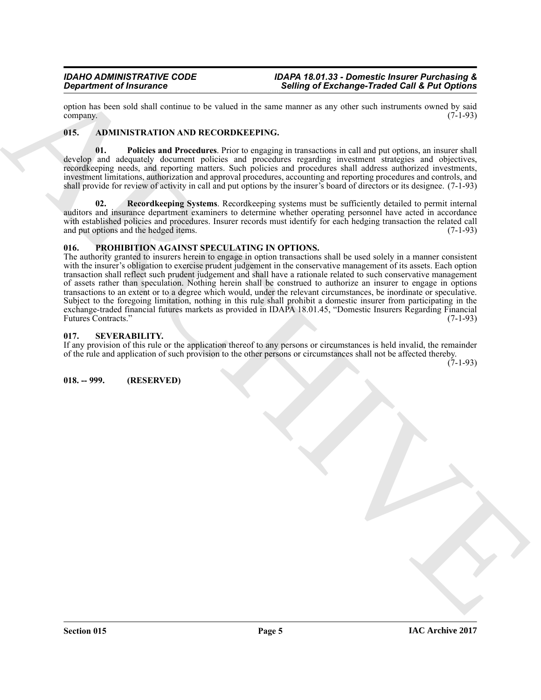option has been sold shall continue to be valued in the same manner as any other such instruments owned by said company.  $(7-1-93)$ 

### <span id="page-4-4"></span><span id="page-4-0"></span>**015. ADMINISTRATION AND RECORDKEEPING.**

<span id="page-4-5"></span>**01. Policies and Procedures**. Prior to engaging in transactions in call and put options, an insurer shall develop and adequately document policies and procedures regarding investment strategies and objectives, recordkeeping needs, and reporting matters. Such policies and procedures shall address authorized investments, investment limitations, authorization and approval procedures, accounting and reporting procedures and controls, and shall provide for review of activity in call and put options by the insurer's board of directors or its designee. (7-1-93)

<span id="page-4-6"></span>**02. Recordkeeping Systems**. Recordkeeping systems must be sufficiently detailed to permit internal auditors and insurance department examiners to determine whether operating personnel have acted in accordance with established policies and procedures. Insurer records must identify for each hedging transaction the related call and put options and the hedged items. (7-1-93)

### <span id="page-4-7"></span><span id="page-4-1"></span>**016. PROHIBITION AGAINST SPECULATING IN OPTIONS.**

**Continue of Instance Continue Continue Continue Continue Continue Continue Continue Continue Continue Continue Continue Continue Continue Continue Continue Continue Continue Continue Continue Continue Continue Continue C** The authority granted to insurers herein to engage in option transactions shall be used solely in a manner consistent with the insurer's obligation to exercise prudent judgement in the conservative management of its assets. Each option transaction shall reflect such prudent judgement and shall have a rationale related to such conservative management of assets rather than speculation. Nothing herein shall be construed to authorize an insurer to engage in options transactions to an extent or to a degree which would, under the relevant circumstances, be inordinate or speculative. Subject to the foregoing limitation, nothing in this rule shall prohibit a domestic insurer from participating in the exchange-traded financial futures markets as provided in IDAPA 18.01.45, "Domestic Insurers Regarding Financial Futures Contracts." (7-1-93)

#### <span id="page-4-2"></span>**017. SEVERABILITY.**

If any provision of this rule or the application thereof to any persons or circumstances is held invalid, the remainder of the rule and application of such provision to the other persons or circumstances shall not be affected thereby.

(7-1-93)

<span id="page-4-3"></span>**018. -- 999. (RESERVED)**